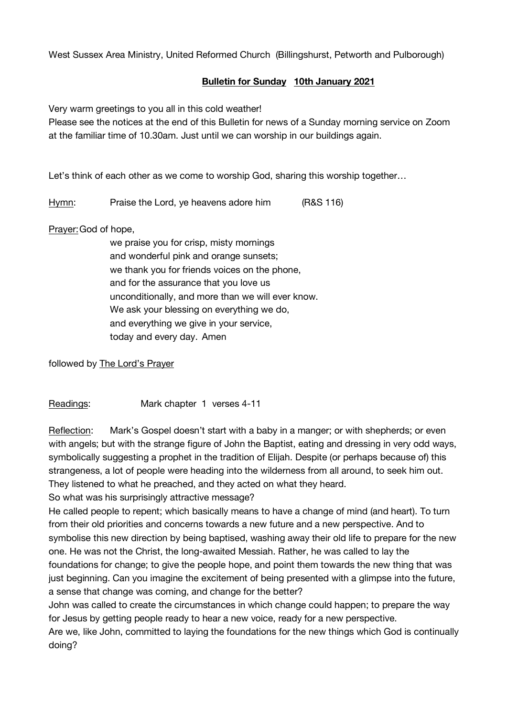West Sussex Area Ministry, United Reformed Church (Billingshurst, Petworth and Pulborough)

## **Bulletin for Sunday 10th January 2021**

Very warm greetings to you all in this cold weather!

Please see the notices at the end of this Bulletin for news of a Sunday morning service on Zoom at the familiar time of 10.30am. Just until we can worship in our buildings again.

Let's think of each other as we come to worship God, sharing this worship together...

Hymn: Praise the Lord, ye heavens adore him (R&S 116)

Prayer:God of hope,

we praise you for crisp, misty mornings and wonderful pink and orange sunsets; we thank you for friends voices on the phone, and for the assurance that you love us unconditionally, and more than we will ever know. We ask your blessing on everything we do, and everything we give in your service, today and every day. Amen

followed by The Lord's Prayer

Readings: Mark chapter 1 verses 4-11

Reflection: Mark's Gospel doesn't start with a baby in a manger; or with shepherds; or even with angels; but with the strange figure of John the Baptist, eating and dressing in very odd ways, symbolically suggesting a prophet in the tradition of Elijah. Despite (or perhaps because of) this strangeness, a lot of people were heading into the wilderness from all around, to seek him out. They listened to what he preached, and they acted on what they heard.

So what was his surprisingly attractive message?

He called people to repent; which basically means to have a change of mind (and heart). To turn from their old priorities and concerns towards a new future and a new perspective. And to symbolise this new direction by being baptised, washing away their old life to prepare for the new one. He was not the Christ, the long-awaited Messiah. Rather, he was called to lay the foundations for change; to give the people hope, and point them towards the new thing that was just beginning. Can you imagine the excitement of being presented with a glimpse into the future, a sense that change was coming, and change for the better?

John was called to create the circumstances in which change could happen; to prepare the way for Jesus by getting people ready to hear a new voice, ready for a new perspective.

Are we, like John, committed to laying the foundations for the new things which God is continually doing?